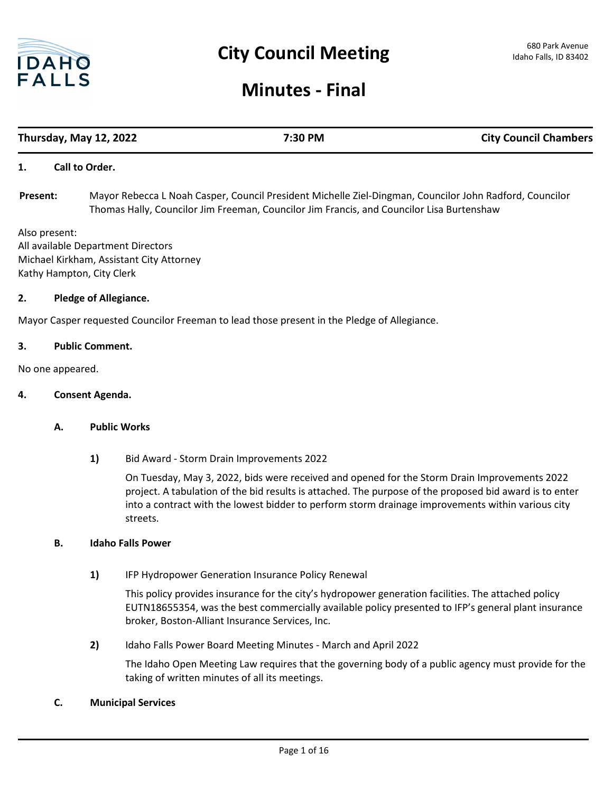

# **Minutes - Final**

# **Thursday, May 12, 2022 7:30 PM City Council Chambers**

#### **1. Call to Order.**

Mayor Rebecca L Noah Casper, Council President Michelle Ziel-Dingman, Councilor John Radford, Councilor Thomas Hally, Councilor Jim Freeman, Councilor Jim Francis, and Councilor Lisa Burtenshaw **Present:**

Also present: All available Department Directors Michael Kirkham, Assistant City Attorney Kathy Hampton, City Clerk

#### **2. Pledge of Allegiance.**

Mayor Casper requested Councilor Freeman to lead those present in the Pledge of Allegiance.

#### **3. Public Comment.**

No one appeared.

#### **4. Consent Agenda.**

#### **A. Public Works**

**1)** Bid Award - Storm Drain Improvements 2022

On Tuesday, May 3, 2022, bids were received and opened for the Storm Drain Improvements 2022 project. A tabulation of the bid results is attached. The purpose of the proposed bid award is to enter into a contract with the lowest bidder to perform storm drainage improvements within various city streets.

#### **B. Idaho Falls Power**

**1)** IFP Hydropower Generation Insurance Policy Renewal

This policy provides insurance for the city's hydropower generation facilities. The attached policy EUTN18655354, was the best commercially available policy presented to IFP's general plant insurance broker, Boston-Alliant Insurance Services, Inc.

**2)** Idaho Falls Power Board Meeting Minutes - March and April 2022

The Idaho Open Meeting Law requires that the governing body of a public agency must provide for the taking of written minutes of all its meetings.

#### **C. Municipal Services**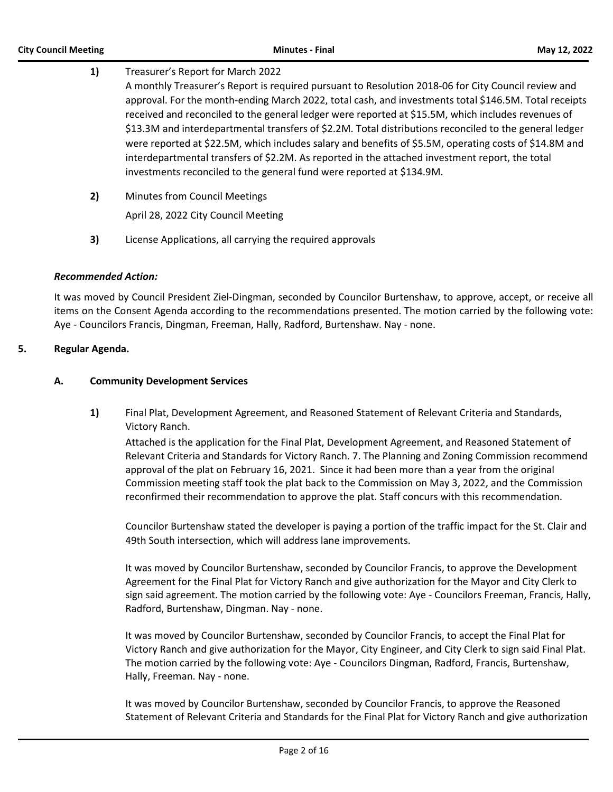# **1)** Treasurer's Report for March 2022 A monthly Treasurer's Report is required pursuant to Resolution 2018-06 for City Council review and approval. For the month-ending March 2022, total cash, and investments total \$146.5M. Total receipts received and reconciled to the general ledger were reported at \$15.5M, which includes revenues of \$13.3M and interdepartmental transfers of \$2.2M. Total distributions reconciled to the general ledger were reported at \$22.5M, which includes salary and benefits of \$5.5M, operating costs of \$14.8M and interdepartmental transfers of \$2.2M. As reported in the attached investment report, the total investments reconciled to the general fund were reported at \$134.9M.

**2)** Minutes from Council Meetings

April 28, 2022 City Council Meeting

**3)** License Applications, all carrying the required approvals

# *Recommended Action:*

It was moved by Council President Ziel-Dingman, seconded by Councilor Burtenshaw, to approve, accept, or receive all items on the Consent Agenda according to the recommendations presented. The motion carried by the following vote: Aye - Councilors Francis, Dingman, Freeman, Hally, Radford, Burtenshaw. Nay - none.

# **5. Regular Agenda.**

# **A. Community Development Services**

**1)** Final Plat, Development Agreement, and Reasoned Statement of Relevant Criteria and Standards, Victory Ranch.

Attached is the application for the Final Plat, Development Agreement, and Reasoned Statement of Relevant Criteria and Standards for Victory Ranch. 7. The Planning and Zoning Commission recommend approval of the plat on February 16, 2021. Since it had been more than a year from the original Commission meeting staff took the plat back to the Commission on May 3, 2022, and the Commission reconfirmed their recommendation to approve the plat. Staff concurs with this recommendation.

Councilor Burtenshaw stated the developer is paying a portion of the traffic impact for the St. Clair and 49th South intersection, which will address lane improvements.

It was moved by Councilor Burtenshaw, seconded by Councilor Francis, to approve the Development Agreement for the Final Plat for Victory Ranch and give authorization for the Mayor and City Clerk to sign said agreement. The motion carried by the following vote: Aye - Councilors Freeman, Francis, Hally, Radford, Burtenshaw, Dingman. Nay - none.

It was moved by Councilor Burtenshaw, seconded by Councilor Francis, to accept the Final Plat for Victory Ranch and give authorization for the Mayor, City Engineer, and City Clerk to sign said Final Plat. The motion carried by the following vote: Aye - Councilors Dingman, Radford, Francis, Burtenshaw, Hally, Freeman. Nay - none.

It was moved by Councilor Burtenshaw, seconded by Councilor Francis, to approve the Reasoned Statement of Relevant Criteria and Standards for the Final Plat for Victory Ranch and give authorization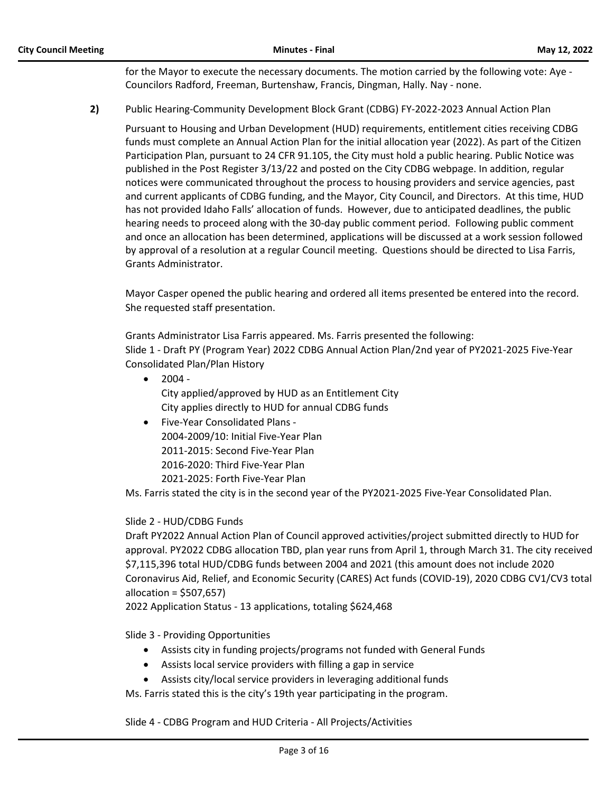for the Mayor to execute the necessary documents. The motion carried by the following vote: Aye - Councilors Radford, Freeman, Burtenshaw, Francis, Dingman, Hally. Nay - none.

# **2)** Public Hearing-Community Development Block Grant (CDBG) FY-2022-2023 Annual Action Plan

Pursuant to Housing and Urban Development (HUD) requirements, entitlement cities receiving CDBG funds must complete an Annual Action Plan for the initial allocation year (2022). As part of the Citizen Participation Plan, pursuant to 24 CFR 91.105, the City must hold a public hearing. Public Notice was published in the Post Register 3/13/22 and posted on the City CDBG webpage. In addition, regular notices were communicated throughout the process to housing providers and service agencies, past and current applicants of CDBG funding, and the Mayor, City Council, and Directors. At this time, HUD has not provided Idaho Falls' allocation of funds. However, due to anticipated deadlines, the public hearing needs to proceed along with the 30-day public comment period. Following public comment and once an allocation has been determined, applications will be discussed at a work session followed by approval of a resolution at a regular Council meeting. Questions should be directed to Lisa Farris, Grants Administrator.

Mayor Casper opened the public hearing and ordered all items presented be entered into the record. She requested staff presentation.

Grants Administrator Lisa Farris appeared. Ms. Farris presented the following: Slide 1 - Draft PY (Program Year) 2022 CDBG Annual Action Plan/2nd year of PY2021-2025 Five-Year Consolidated Plan/Plan History

- $2004 -$ City applied/approved by HUD as an Entitlement City City applies directly to HUD for annual CDBG funds
- · Five-Year Consolidated Plans 2004-2009/10: Initial Five-Year Plan 2011-2015: Second Five-Year Plan 2016-2020: Third Five-Year Plan 2021-2025: Forth Five-Year Plan

Ms. Farris stated the city is in the second year of the PY2021-2025 Five-Year Consolidated Plan.

# Slide 2 - HUD/CDBG Funds

Draft PY2022 Annual Action Plan of Council approved activities/project submitted directly to HUD for approval. PY2022 CDBG allocation TBD, plan year runs from April 1, through March 31. The city received \$7,115,396 total HUD/CDBG funds between 2004 and 2021 (this amount does not include 2020 Coronavirus Aid, Relief, and Economic Security (CARES) Act funds (COVID-19), 2020 CDBG CV1/CV3 total allocation = \$507,657)

2022 Application Status - 13 applications, totaling \$624,468

Slide 3 - Providing Opportunities

- · Assists city in funding projects/programs not funded with General Funds
- · Assists local service providers with filling a gap in service
- · Assists city/local service providers in leveraging additional funds

Ms. Farris stated this is the city's 19th year participating in the program.

Slide 4 - CDBG Program and HUD Criteria - All Projects/Activities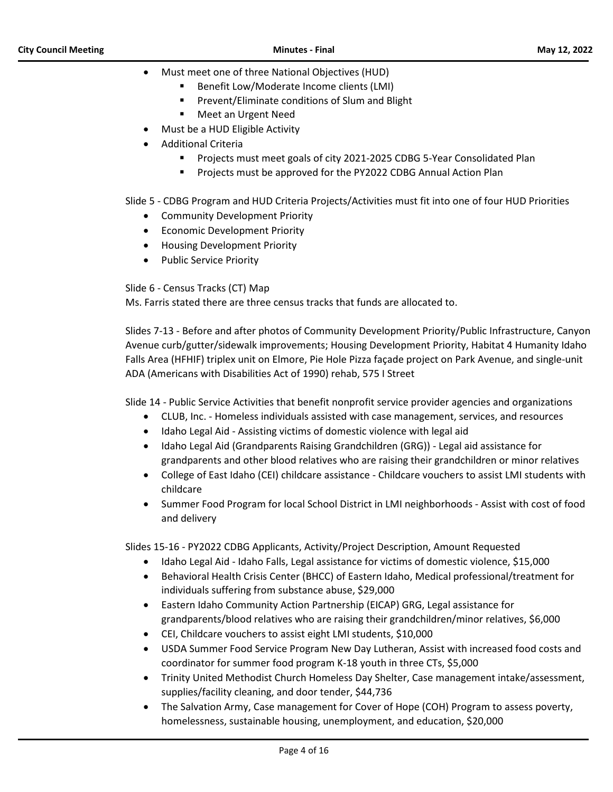- · Must meet one of three National Objectives (HUD)
	- Benefit Low/Moderate Income clients (LMI)
	- Prevent/Eliminate conditions of Slum and Blight
	- Meet an Urgent Need
	- · Must be a HUD Eligible Activity
	- · Additional Criteria
		- § Projects must meet goals of city 2021-2025 CDBG 5-Year Consolidated Plan
		- Projects must be approved for the PY2022 CDBG Annual Action Plan

Slide 5 - CDBG Program and HUD Criteria Projects/Activities must fit into one of four HUD Priorities

- · Community Development Priority
- · Economic Development Priority
- · Housing Development Priority
- Public Service Priority

Slide 6 - Census Tracks (CT) Map

Ms. Farris stated there are three census tracks that funds are allocated to.

Slides 7-13 - Before and after photos of Community Development Priority/Public Infrastructure, Canyon Avenue curb/gutter/sidewalk improvements; Housing Development Priority, Habitat 4 Humanity Idaho Falls Area (HFHIF) triplex unit on Elmore, Pie Hole Pizza façade project on Park Avenue, and single-unit ADA (Americans with Disabilities Act of 1990) rehab, 575 I Street

Slide 14 - Public Service Activities that benefit nonprofit service provider agencies and organizations

- · CLUB, Inc. Homeless individuals assisted with case management, services, and resources
- · Idaho Legal Aid Assisting victims of domestic violence with legal aid
- · Idaho Legal Aid (Grandparents Raising Grandchildren (GRG)) Legal aid assistance for grandparents and other blood relatives who are raising their grandchildren or minor relatives
- · College of East Idaho (CEI) childcare assistance Childcare vouchers to assist LMI students with childcare
- · Summer Food Program for local School District in LMI neighborhoods Assist with cost of food and delivery

Slides 15-16 - PY2022 CDBG Applicants, Activity/Project Description, Amount Requested

- · Idaho Legal Aid Idaho Falls, Legal assistance for victims of domestic violence, \$15,000
- · Behavioral Health Crisis Center (BHCC) of Eastern Idaho, Medical professional/treatment for individuals suffering from substance abuse, \$29,000
- · Eastern Idaho Community Action Partnership (EICAP) GRG, Legal assistance for grandparents/blood relatives who are raising their grandchildren/minor relatives, \$6,000
- CEI, Childcare vouchers to assist eight LMI students, \$10,000
- · USDA Summer Food Service Program New Day Lutheran, Assist with increased food costs and coordinator for summer food program K-18 youth in three CTs, \$5,000
- · Trinity United Methodist Church Homeless Day Shelter, Case management intake/assessment, supplies/facility cleaning, and door tender, \$44,736
- The Salvation Army, Case management for Cover of Hope (COH) Program to assess poverty, homelessness, sustainable housing, unemployment, and education, \$20,000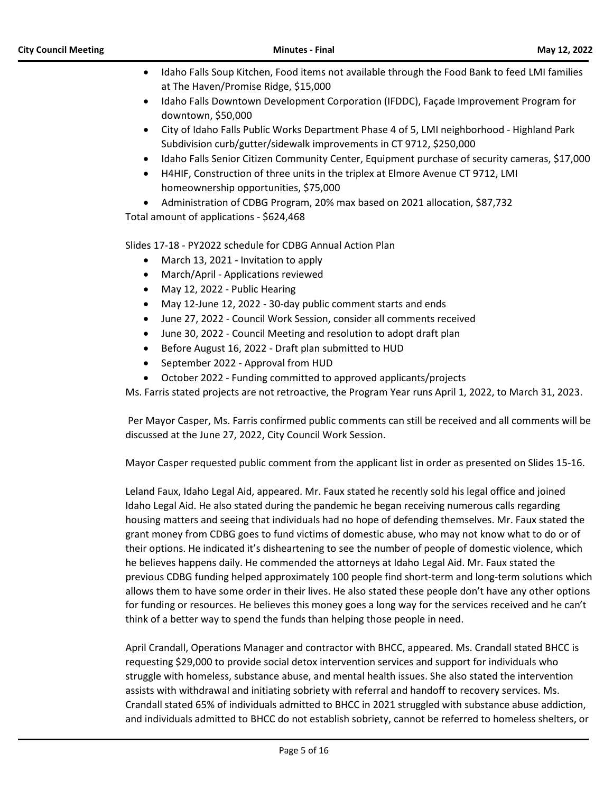- · Idaho Falls Soup Kitchen, Food items not available through the Food Bank to feed LMI families at The Haven/Promise Ridge, \$15,000
- · Idaho Falls Downtown Development Corporation (IFDDC), Façade Improvement Program for downtown, \$50,000
- · City of Idaho Falls Public Works Department Phase 4 of 5, LMI neighborhood Highland Park Subdivision curb/gutter/sidewalk improvements in CT 9712, \$250,000
- Idaho Falls Senior Citizen Community Center, Equipment purchase of security cameras, \$17,000
- · H4HIF, Construction of three units in the triplex at Elmore Avenue CT 9712, LMI homeownership opportunities, \$75,000
- · Administration of CDBG Program, 20% max based on 2021 allocation, \$87,732

Total amount of applications - \$624,468

Slides 17-18 - PY2022 schedule for CDBG Annual Action Plan

- · March 13, 2021 Invitation to apply
- · March/April Applications reviewed
- May 12, 2022 Public Hearing
- · May 12-June 12, 2022 30-day public comment starts and ends
- · June 27, 2022 Council Work Session, consider all comments received
- · June 30, 2022 Council Meeting and resolution to adopt draft plan
- Before August 16, 2022 Draft plan submitted to HUD
- · September 2022 Approval from HUD
- October 2022 Funding committed to approved applicants/projects

Ms. Farris stated projects are not retroactive, the Program Year runs April 1, 2022, to March 31, 2023.

Per Mayor Casper, Ms. Farris confirmed public comments can still be received and all comments will be discussed at the June 27, 2022, City Council Work Session.

Mayor Casper requested public comment from the applicant list in order as presented on Slides 15-16.

Leland Faux, Idaho Legal Aid, appeared. Mr. Faux stated he recently sold his legal office and joined Idaho Legal Aid. He also stated during the pandemic he began receiving numerous calls regarding housing matters and seeing that individuals had no hope of defending themselves. Mr. Faux stated the grant money from CDBG goes to fund victims of domestic abuse, who may not know what to do or of their options. He indicated it's disheartening to see the number of people of domestic violence, which he believes happens daily. He commended the attorneys at Idaho Legal Aid. Mr. Faux stated the previous CDBG funding helped approximately 100 people find short-term and long-term solutions which allows them to have some order in their lives. He also stated these people don't have any other options for funding or resources. He believes this money goes a long way for the services received and he can't think of a better way to spend the funds than helping those people in need.

April Crandall, Operations Manager and contractor with BHCC, appeared. Ms. Crandall stated BHCC is requesting \$29,000 to provide social detox intervention services and support for individuals who struggle with homeless, substance abuse, and mental health issues. She also stated the intervention assists with withdrawal and initiating sobriety with referral and handoff to recovery services. Ms. Crandall stated 65% of individuals admitted to BHCC in 2021 struggled with substance abuse addiction, and individuals admitted to BHCC do not establish sobriety, cannot be referred to homeless shelters, or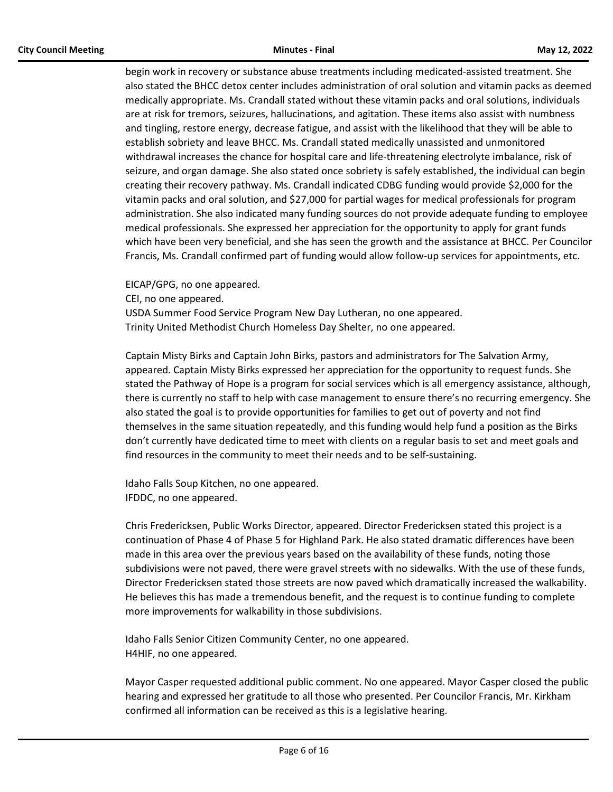begin work in recovery or substance abuse treatments including medicated-assisted treatment. She also stated the BHCC detox center includes administration of oral solution and vitamin packs as deemed medically appropriate. Ms. Crandall stated without these vitamin packs and oral solutions, individuals are at risk for tremors, seizures, hallucinations, and agitation. These items also assist with numbness and tingling, restore energy, decrease fatigue, and assist with the likelihood that they will be able to establish sobriety and leave BHCC. Ms. Crandall stated medically unassisted and unmonitored withdrawal increases the chance for hospital care and life-threatening electrolyte imbalance, risk of seizure, and organ damage. She also stated once sobriety is safely established, the individual can begin creating their recovery pathway. Ms. Crandall indicated CDBG funding would provide \$2,000 for the vitamin packs and oral solution, and \$27,000 for partial wages for medical professionals for program administration. She also indicated many funding sources do not provide adequate funding to employee medical professionals. She expressed her appreciation for the opportunity to apply for grant funds which have been very beneficial, and she has seen the growth and the assistance at BHCC. Per Councilor Francis, Ms. Crandall confirmed part of funding would allow follow-up services for appointments, etc.

EICAP/GPG, no one appeared.

CEI, no one appeared.

USDA Summer Food Service Program New Day Lutheran, no one appeared. Trinity United Methodist Church Homeless Day Shelter, no one appeared.

Captain Misty Birks and Captain John Birks, pastors and administrators for The Salvation Army, appeared. Captain Misty Birks expressed her appreciation for the opportunity to request funds. She stated the Pathway of Hope is a program for social services which is all emergency assistance, although, there is currently no staff to help with case management to ensure there's no recurring emergency. She also stated the goal is to provide opportunities for families to get out of poverty and not find themselves in the same situation repeatedly, and this funding would help fund a position as the Birks don't currently have dedicated time to meet with clients on a regular basis to set and meet goals and find resources in the community to meet their needs and to be self-sustaining.

Idaho Falls Soup Kitchen, no one appeared. IFDDC, no one appeared.

Chris Fredericksen, Public Works Director, appeared. Director Fredericksen stated this project is a continuation of Phase 4 of Phase 5 for Highland Park. He also stated dramatic differences have been made in this area over the previous years based on the availability of these funds, noting those subdivisions were not paved, there were gravel streets with no sidewalks. With the use of these funds, Director Fredericksen stated those streets are now paved which dramatically increased the walkability. He believes this has made a tremendous benefit, and the request is to continue funding to complete more improvements for walkability in those subdivisions.

Idaho Falls Senior Citizen Community Center, no one appeared. H4HIF, no one appeared.

Mayor Casper requested additional public comment. No one appeared. Mayor Casper closed the public hearing and expressed her gratitude to all those who presented. Per Councilor Francis, Mr. Kirkham confirmed all information can be received as this is a legislative hearing.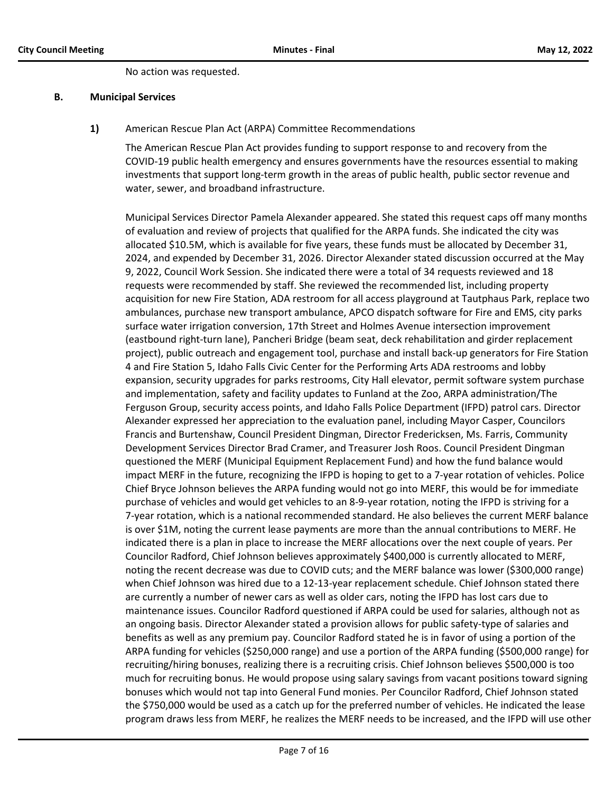No action was requested.

#### **B. Municipal Services**

#### **1)** American Rescue Plan Act (ARPA) Committee Recommendations

The American Rescue Plan Act provides funding to support response to and recovery from the COVID-19 public health emergency and ensures governments have the resources essential to making investments that support long-term growth in the areas of public health, public sector revenue and water, sewer, and broadband infrastructure.

Municipal Services Director Pamela Alexander appeared. She stated this request caps off many months of evaluation and review of projects that qualified for the ARPA funds. She indicated the city was allocated \$10.5M, which is available for five years, these funds must be allocated by December 31, 2024, and expended by December 31, 2026. Director Alexander stated discussion occurred at the May 9, 2022, Council Work Session. She indicated there were a total of 34 requests reviewed and 18 requests were recommended by staff. She reviewed the recommended list, including property acquisition for new Fire Station, ADA restroom for all access playground at Tautphaus Park, replace two ambulances, purchase new transport ambulance, APCO dispatch software for Fire and EMS, city parks surface water irrigation conversion, 17th Street and Holmes Avenue intersection improvement (eastbound right-turn lane), Pancheri Bridge (beam seat, deck rehabilitation and girder replacement project), public outreach and engagement tool, purchase and install back-up generators for Fire Station 4 and Fire Station 5, Idaho Falls Civic Center for the Performing Arts ADA restrooms and lobby expansion, security upgrades for parks restrooms, City Hall elevator, permit software system purchase and implementation, safety and facility updates to Funland at the Zoo, ARPA administration/The Ferguson Group, security access points, and Idaho Falls Police Department (IFPD) patrol cars. Director Alexander expressed her appreciation to the evaluation panel, including Mayor Casper, Councilors Francis and Burtenshaw, Council President Dingman, Director Fredericksen, Ms. Farris, Community Development Services Director Brad Cramer, and Treasurer Josh Roos. Council President Dingman questioned the MERF (Municipal Equipment Replacement Fund) and how the fund balance would impact MERF in the future, recognizing the IFPD is hoping to get to a 7-year rotation of vehicles. Police Chief Bryce Johnson believes the ARPA funding would not go into MERF, this would be for immediate purchase of vehicles and would get vehicles to an 8-9-year rotation, noting the IFPD is striving for a 7-year rotation, which is a national recommended standard. He also believes the current MERF balance is over \$1M, noting the current lease payments are more than the annual contributions to MERF. He indicated there is a plan in place to increase the MERF allocations over the next couple of years. Per Councilor Radford, Chief Johnson believes approximately \$400,000 is currently allocated to MERF, noting the recent decrease was due to COVID cuts; and the MERF balance was lower (\$300,000 range) when Chief Johnson was hired due to a 12-13-year replacement schedule. Chief Johnson stated there are currently a number of newer cars as well as older cars, noting the IFPD has lost cars due to maintenance issues. Councilor Radford questioned if ARPA could be used for salaries, although not as an ongoing basis. Director Alexander stated a provision allows for public safety-type of salaries and benefits as well as any premium pay. Councilor Radford stated he is in favor of using a portion of the ARPA funding for vehicles (\$250,000 range) and use a portion of the ARPA funding (\$500,000 range) for recruiting/hiring bonuses, realizing there is a recruiting crisis. Chief Johnson believes \$500,000 is too much for recruiting bonus. He would propose using salary savings from vacant positions toward signing bonuses which would not tap into General Fund monies. Per Councilor Radford, Chief Johnson stated the \$750,000 would be used as a catch up for the preferred number of vehicles. He indicated the lease program draws less from MERF, he realizes the MERF needs to be increased, and the IFPD will use other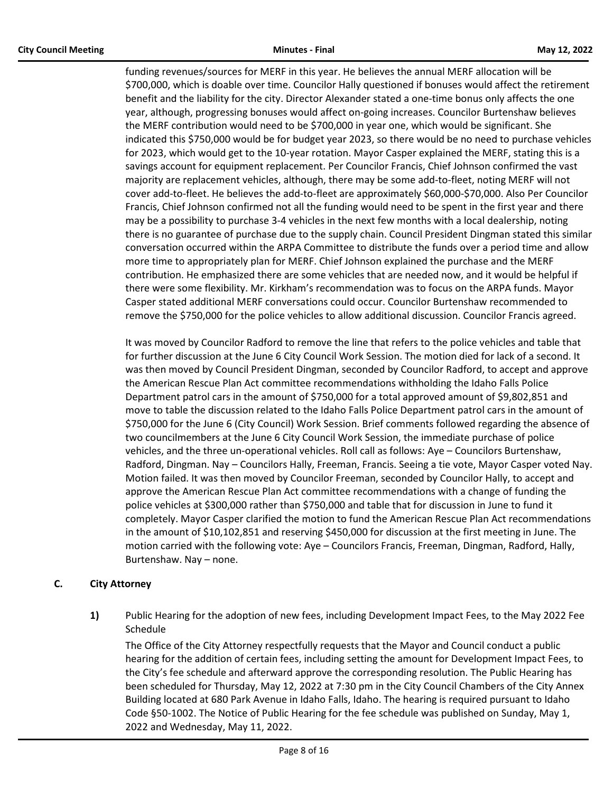funding revenues/sources for MERF in this year. He believes the annual MERF allocation will be \$700,000, which is doable over time. Councilor Hally questioned if bonuses would affect the retirement benefit and the liability for the city. Director Alexander stated a one-time bonus only affects the one year, although, progressing bonuses would affect on-going increases. Councilor Burtenshaw believes the MERF contribution would need to be \$700,000 in year one, which would be significant. She indicated this \$750,000 would be for budget year 2023, so there would be no need to purchase vehicles for 2023, which would get to the 10-year rotation. Mayor Casper explained the MERF, stating this is a savings account for equipment replacement. Per Councilor Francis, Chief Johnson confirmed the vast majority are replacement vehicles, although, there may be some add-to-fleet, noting MERF will not cover add-to-fleet. He believes the add-to-fleet are approximately \$60,000-\$70,000. Also Per Councilor Francis, Chief Johnson confirmed not all the funding would need to be spent in the first year and there may be a possibility to purchase 3-4 vehicles in the next few months with a local dealership, noting there is no guarantee of purchase due to the supply chain. Council President Dingman stated this similar conversation occurred within the ARPA Committee to distribute the funds over a period time and allow more time to appropriately plan for MERF. Chief Johnson explained the purchase and the MERF contribution. He emphasized there are some vehicles that are needed now, and it would be helpful if there were some flexibility. Mr. Kirkham's recommendation was to focus on the ARPA funds. Mayor Casper stated additional MERF conversations could occur. Councilor Burtenshaw recommended to remove the \$750,000 for the police vehicles to allow additional discussion. Councilor Francis agreed.

It was moved by Councilor Radford to remove the line that refers to the police vehicles and table that for further discussion at the June 6 City Council Work Session. The motion died for lack of a second. It was then moved by Council President Dingman, seconded by Councilor Radford, to accept and approve the American Rescue Plan Act committee recommendations withholding the Idaho Falls Police Department patrol cars in the amount of \$750,000 for a total approved amount of \$9,802,851 and move to table the discussion related to the Idaho Falls Police Department patrol cars in the amount of \$750,000 for the June 6 (City Council) Work Session. Brief comments followed regarding the absence of two councilmembers at the June 6 City Council Work Session, the immediate purchase of police vehicles, and the three un-operational vehicles. Roll call as follows: Aye – Councilors Burtenshaw, Radford, Dingman. Nay – Councilors Hally, Freeman, Francis. Seeing a tie vote, Mayor Casper voted Nay. Motion failed. It was then moved by Councilor Freeman, seconded by Councilor Hally, to accept and approve the American Rescue Plan Act committee recommendations with a change of funding the police vehicles at \$300,000 rather than \$750,000 and table that for discussion in June to fund it completely. Mayor Casper clarified the motion to fund the American Rescue Plan Act recommendations in the amount of \$10,102,851 and reserving \$450,000 for discussion at the first meeting in June. The motion carried with the following vote: Aye – Councilors Francis, Freeman, Dingman, Radford, Hally, Burtenshaw. Nay – none.

# **C. City Attorney**

**1)** Public Hearing for the adoption of new fees, including Development Impact Fees, to the May 2022 Fee Schedule

The Office of the City Attorney respectfully requests that the Mayor and Council conduct a public hearing for the addition of certain fees, including setting the amount for Development Impact Fees, to the City's fee schedule and afterward approve the corresponding resolution. The Public Hearing has been scheduled for Thursday, May 12, 2022 at 7:30 pm in the City Council Chambers of the City Annex Building located at 680 Park Avenue in Idaho Falls, Idaho. The hearing is required pursuant to Idaho Code §50-1002. The Notice of Public Hearing for the fee schedule was published on Sunday, May 1, 2022 and Wednesday, May 11, 2022.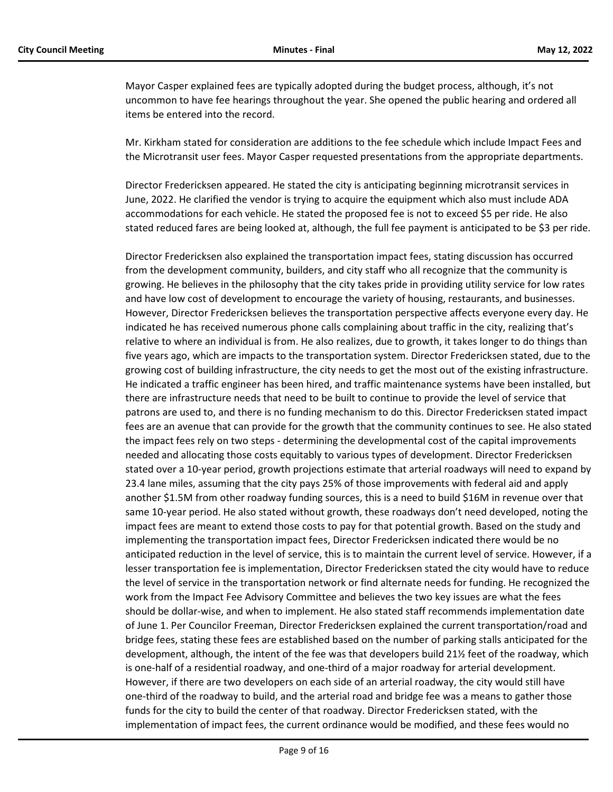Mayor Casper explained fees are typically adopted during the budget process, although, it's not uncommon to have fee hearings throughout the year. She opened the public hearing and ordered all items be entered into the record.

Mr. Kirkham stated for consideration are additions to the fee schedule which include Impact Fees and the Microtransit user fees. Mayor Casper requested presentations from the appropriate departments.

Director Fredericksen appeared. He stated the city is anticipating beginning microtransit services in June, 2022. He clarified the vendor is trying to acquire the equipment which also must include ADA accommodations for each vehicle. He stated the proposed fee is not to exceed \$5 per ride. He also stated reduced fares are being looked at, although, the full fee payment is anticipated to be \$3 per ride.

Director Fredericksen also explained the transportation impact fees, stating discussion has occurred from the development community, builders, and city staff who all recognize that the community is growing. He believes in the philosophy that the city takes pride in providing utility service for low rates and have low cost of development to encourage the variety of housing, restaurants, and businesses. However, Director Fredericksen believes the transportation perspective affects everyone every day. He indicated he has received numerous phone calls complaining about traffic in the city, realizing that's relative to where an individual is from. He also realizes, due to growth, it takes longer to do things than five years ago, which are impacts to the transportation system. Director Fredericksen stated, due to the growing cost of building infrastructure, the city needs to get the most out of the existing infrastructure. He indicated a traffic engineer has been hired, and traffic maintenance systems have been installed, but there are infrastructure needs that need to be built to continue to provide the level of service that patrons are used to, and there is no funding mechanism to do this. Director Fredericksen stated impact fees are an avenue that can provide for the growth that the community continues to see. He also stated the impact fees rely on two steps - determining the developmental cost of the capital improvements needed and allocating those costs equitably to various types of development. Director Fredericksen stated over a 10-year period, growth projections estimate that arterial roadways will need to expand by 23.4 lane miles, assuming that the city pays 25% of those improvements with federal aid and apply another \$1.5M from other roadway funding sources, this is a need to build \$16M in revenue over that same 10-year period. He also stated without growth, these roadways don't need developed, noting the impact fees are meant to extend those costs to pay for that potential growth. Based on the study and implementing the transportation impact fees, Director Fredericksen indicated there would be no anticipated reduction in the level of service, this is to maintain the current level of service. However, if a lesser transportation fee is implementation, Director Fredericksen stated the city would have to reduce the level of service in the transportation network or find alternate needs for funding. He recognized the work from the Impact Fee Advisory Committee and believes the two key issues are what the fees should be dollar-wise, and when to implement. He also stated staff recommends implementation date of June 1. Per Councilor Freeman, Director Fredericksen explained the current transportation/road and bridge fees, stating these fees are established based on the number of parking stalls anticipated for the development, although, the intent of the fee was that developers build 21½ feet of the roadway, which is one-half of a residential roadway, and one-third of a major roadway for arterial development. However, if there are two developers on each side of an arterial roadway, the city would still have one-third of the roadway to build, and the arterial road and bridge fee was a means to gather those funds for the city to build the center of that roadway. Director Fredericksen stated, with the implementation of impact fees, the current ordinance would be modified, and these fees would no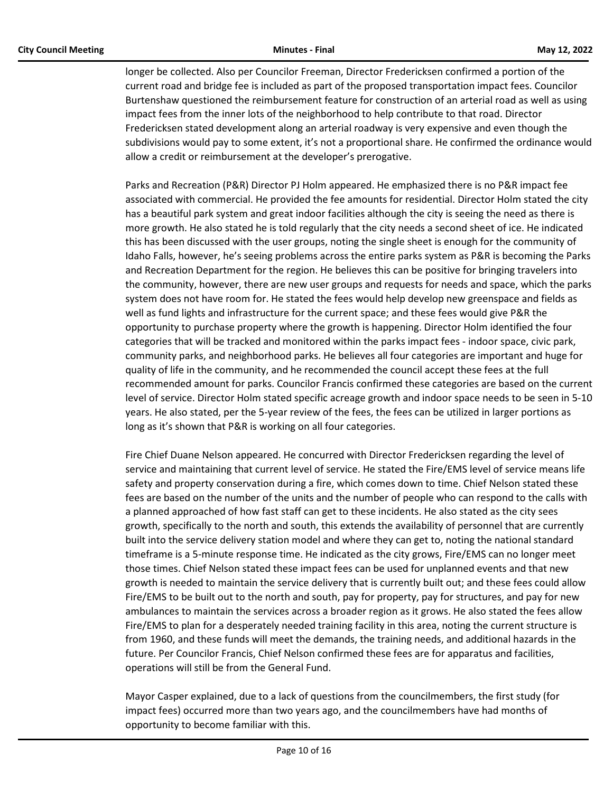longer be collected. Also per Councilor Freeman, Director Fredericksen confirmed a portion of the current road and bridge fee is included as part of the proposed transportation impact fees. Councilor Burtenshaw questioned the reimbursement feature for construction of an arterial road as well as using impact fees from the inner lots of the neighborhood to help contribute to that road. Director Fredericksen stated development along an arterial roadway is very expensive and even though the subdivisions would pay to some extent, it's not a proportional share. He confirmed the ordinance would allow a credit or reimbursement at the developer's prerogative.

Parks and Recreation (P&R) Director PJ Holm appeared. He emphasized there is no P&R impact fee associated with commercial. He provided the fee amounts for residential. Director Holm stated the city has a beautiful park system and great indoor facilities although the city is seeing the need as there is more growth. He also stated he is told regularly that the city needs a second sheet of ice. He indicated this has been discussed with the user groups, noting the single sheet is enough for the community of Idaho Falls, however, he's seeing problems across the entire parks system as P&R is becoming the Parks and Recreation Department for the region. He believes this can be positive for bringing travelers into the community, however, there are new user groups and requests for needs and space, which the parks system does not have room for. He stated the fees would help develop new greenspace and fields as well as fund lights and infrastructure for the current space; and these fees would give P&R the opportunity to purchase property where the growth is happening. Director Holm identified the four categories that will be tracked and monitored within the parks impact fees - indoor space, civic park, community parks, and neighborhood parks. He believes all four categories are important and huge for quality of life in the community, and he recommended the council accept these fees at the full recommended amount for parks. Councilor Francis confirmed these categories are based on the current level of service. Director Holm stated specific acreage growth and indoor space needs to be seen in 5-10 years. He also stated, per the 5-year review of the fees, the fees can be utilized in larger portions as long as it's shown that P&R is working on all four categories.

Fire Chief Duane Nelson appeared. He concurred with Director Fredericksen regarding the level of service and maintaining that current level of service. He stated the Fire/EMS level of service means life safety and property conservation during a fire, which comes down to time. Chief Nelson stated these fees are based on the number of the units and the number of people who can respond to the calls with a planned approached of how fast staff can get to these incidents. He also stated as the city sees growth, specifically to the north and south, this extends the availability of personnel that are currently built into the service delivery station model and where they can get to, noting the national standard timeframe is a 5-minute response time. He indicated as the city grows, Fire/EMS can no longer meet those times. Chief Nelson stated these impact fees can be used for unplanned events and that new growth is needed to maintain the service delivery that is currently built out; and these fees could allow Fire/EMS to be built out to the north and south, pay for property, pay for structures, and pay for new ambulances to maintain the services across a broader region as it grows. He also stated the fees allow Fire/EMS to plan for a desperately needed training facility in this area, noting the current structure is from 1960, and these funds will meet the demands, the training needs, and additional hazards in the future. Per Councilor Francis, Chief Nelson confirmed these fees are for apparatus and facilities, operations will still be from the General Fund.

Mayor Casper explained, due to a lack of questions from the councilmembers, the first study (for impact fees) occurred more than two years ago, and the councilmembers have had months of opportunity to become familiar with this.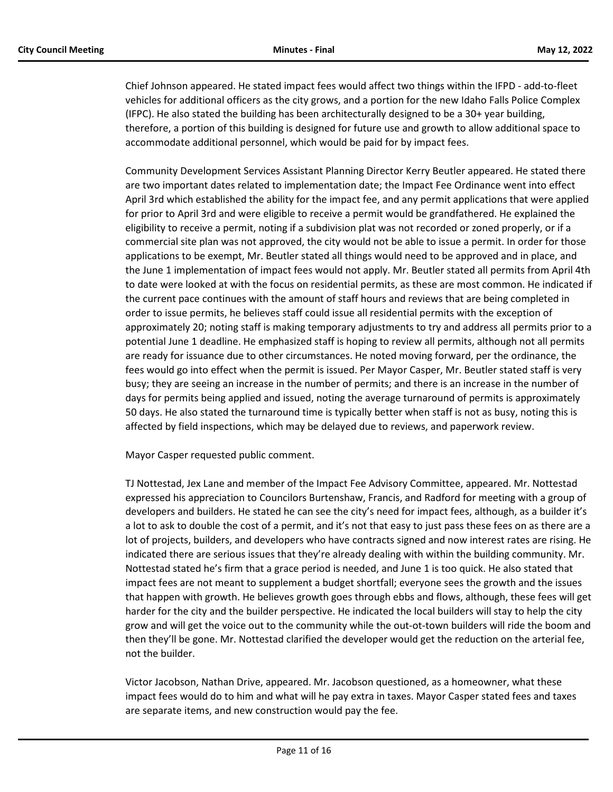Chief Johnson appeared. He stated impact fees would affect two things within the IFPD - add-to-fleet vehicles for additional officers as the city grows, and a portion for the new Idaho Falls Police Complex (IFPC). He also stated the building has been architecturally designed to be a 30+ year building, therefore, a portion of this building is designed for future use and growth to allow additional space to accommodate additional personnel, which would be paid for by impact fees.

Community Development Services Assistant Planning Director Kerry Beutler appeared. He stated there are two important dates related to implementation date; the Impact Fee Ordinance went into effect April 3rd which established the ability for the impact fee, and any permit applications that were applied for prior to April 3rd and were eligible to receive a permit would be grandfathered. He explained the eligibility to receive a permit, noting if a subdivision plat was not recorded or zoned properly, or if a commercial site plan was not approved, the city would not be able to issue a permit. In order for those applications to be exempt, Mr. Beutler stated all things would need to be approved and in place, and the June 1 implementation of impact fees would not apply. Mr. Beutler stated all permits from April 4th to date were looked at with the focus on residential permits, as these are most common. He indicated if the current pace continues with the amount of staff hours and reviews that are being completed in order to issue permits, he believes staff could issue all residential permits with the exception of approximately 20; noting staff is making temporary adjustments to try and address all permits prior to a potential June 1 deadline. He emphasized staff is hoping to review all permits, although not all permits are ready for issuance due to other circumstances. He noted moving forward, per the ordinance, the fees would go into effect when the permit is issued. Per Mayor Casper, Mr. Beutler stated staff is very busy; they are seeing an increase in the number of permits; and there is an increase in the number of days for permits being applied and issued, noting the average turnaround of permits is approximately 50 days. He also stated the turnaround time is typically better when staff is not as busy, noting this is affected by field inspections, which may be delayed due to reviews, and paperwork review.

Mayor Casper requested public comment.

TJ Nottestad, Jex Lane and member of the Impact Fee Advisory Committee, appeared. Mr. Nottestad expressed his appreciation to Councilors Burtenshaw, Francis, and Radford for meeting with a group of developers and builders. He stated he can see the city's need for impact fees, although, as a builder it's a lot to ask to double the cost of a permit, and it's not that easy to just pass these fees on as there are a lot of projects, builders, and developers who have contracts signed and now interest rates are rising. He indicated there are serious issues that they're already dealing with within the building community. Mr. Nottestad stated he's firm that a grace period is needed, and June 1 is too quick. He also stated that impact fees are not meant to supplement a budget shortfall; everyone sees the growth and the issues that happen with growth. He believes growth goes through ebbs and flows, although, these fees will get harder for the city and the builder perspective. He indicated the local builders will stay to help the city grow and will get the voice out to the community while the out-ot-town builders will ride the boom and then they'll be gone. Mr. Nottestad clarified the developer would get the reduction on the arterial fee, not the builder.

Victor Jacobson, Nathan Drive, appeared. Mr. Jacobson questioned, as a homeowner, what these impact fees would do to him and what will he pay extra in taxes. Mayor Casper stated fees and taxes are separate items, and new construction would pay the fee.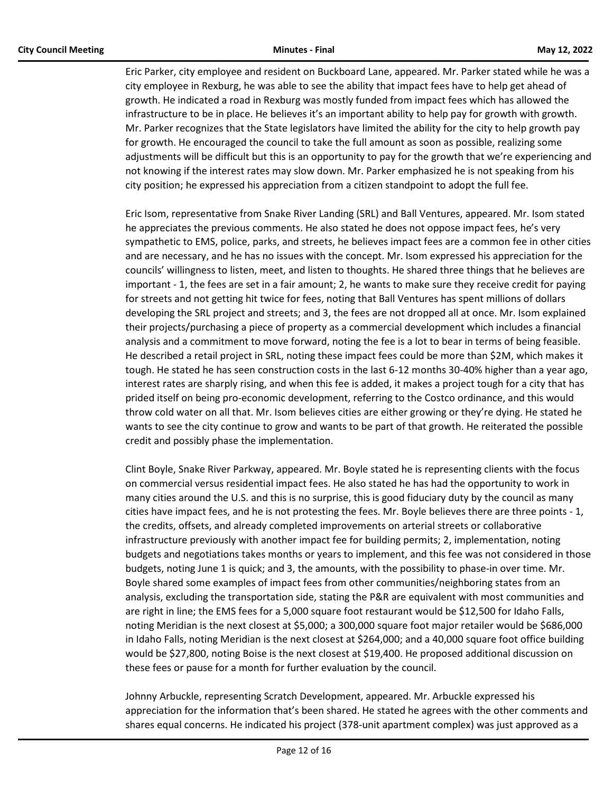Eric Parker, city employee and resident on Buckboard Lane, appeared. Mr. Parker stated while he was a city employee in Rexburg, he was able to see the ability that impact fees have to help get ahead of growth. He indicated a road in Rexburg was mostly funded from impact fees which has allowed the infrastructure to be in place. He believes it's an important ability to help pay for growth with growth. Mr. Parker recognizes that the State legislators have limited the ability for the city to help growth pay for growth. He encouraged the council to take the full amount as soon as possible, realizing some adjustments will be difficult but this is an opportunity to pay for the growth that we're experiencing and not knowing if the interest rates may slow down. Mr. Parker emphasized he is not speaking from his city position; he expressed his appreciation from a citizen standpoint to adopt the full fee.

Eric Isom, representative from Snake River Landing (SRL) and Ball Ventures, appeared. Mr. Isom stated he appreciates the previous comments. He also stated he does not oppose impact fees, he's very sympathetic to EMS, police, parks, and streets, he believes impact fees are a common fee in other cities and are necessary, and he has no issues with the concept. Mr. Isom expressed his appreciation for the councils' willingness to listen, meet, and listen to thoughts. He shared three things that he believes are important - 1, the fees are set in a fair amount; 2, he wants to make sure they receive credit for paying for streets and not getting hit twice for fees, noting that Ball Ventures has spent millions of dollars developing the SRL project and streets; and 3, the fees are not dropped all at once. Mr. Isom explained their projects/purchasing a piece of property as a commercial development which includes a financial analysis and a commitment to move forward, noting the fee is a lot to bear in terms of being feasible. He described a retail project in SRL, noting these impact fees could be more than \$2M, which makes it tough. He stated he has seen construction costs in the last 6-12 months 30-40% higher than a year ago, interest rates are sharply rising, and when this fee is added, it makes a project tough for a city that has prided itself on being pro-economic development, referring to the Costco ordinance, and this would throw cold water on all that. Mr. Isom believes cities are either growing or they're dying. He stated he wants to see the city continue to grow and wants to be part of that growth. He reiterated the possible credit and possibly phase the implementation.

Clint Boyle, Snake River Parkway, appeared. Mr. Boyle stated he is representing clients with the focus on commercial versus residential impact fees. He also stated he has had the opportunity to work in many cities around the U.S. and this is no surprise, this is good fiduciary duty by the council as many cities have impact fees, and he is not protesting the fees. Mr. Boyle believes there are three points - 1, the credits, offsets, and already completed improvements on arterial streets or collaborative infrastructure previously with another impact fee for building permits; 2, implementation, noting budgets and negotiations takes months or years to implement, and this fee was not considered in those budgets, noting June 1 is quick; and 3, the amounts, with the possibility to phase-in over time. Mr. Boyle shared some examples of impact fees from other communities/neighboring states from an analysis, excluding the transportation side, stating the P&R are equivalent with most communities and are right in line; the EMS fees for a 5,000 square foot restaurant would be \$12,500 for Idaho Falls, noting Meridian is the next closest at \$5,000; a 300,000 square foot major retailer would be \$686,000 in Idaho Falls, noting Meridian is the next closest at \$264,000; and a 40,000 square foot office building would be \$27,800, noting Boise is the next closest at \$19,400. He proposed additional discussion on these fees or pause for a month for further evaluation by the council.

Johnny Arbuckle, representing Scratch Development, appeared. Mr. Arbuckle expressed his appreciation for the information that's been shared. He stated he agrees with the other comments and shares equal concerns. He indicated his project (378-unit apartment complex) was just approved as a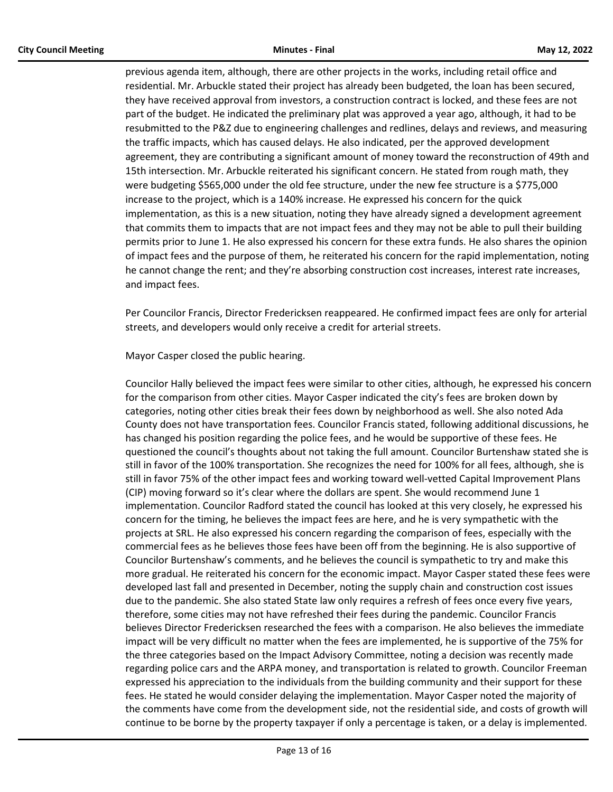previous agenda item, although, there are other projects in the works, including retail office and residential. Mr. Arbuckle stated their project has already been budgeted, the loan has been secured, they have received approval from investors, a construction contract is locked, and these fees are not part of the budget. He indicated the preliminary plat was approved a year ago, although, it had to be resubmitted to the P&Z due to engineering challenges and redlines, delays and reviews, and measuring the traffic impacts, which has caused delays. He also indicated, per the approved development agreement, they are contributing a significant amount of money toward the reconstruction of 49th and 15th intersection. Mr. Arbuckle reiterated his significant concern. He stated from rough math, they were budgeting \$565,000 under the old fee structure, under the new fee structure is a \$775,000 increase to the project, which is a 140% increase. He expressed his concern for the quick implementation, as this is a new situation, noting they have already signed a development agreement that commits them to impacts that are not impact fees and they may not be able to pull their building permits prior to June 1. He also expressed his concern for these extra funds. He also shares the opinion of impact fees and the purpose of them, he reiterated his concern for the rapid implementation, noting he cannot change the rent; and they're absorbing construction cost increases, interest rate increases, and impact fees.

Per Councilor Francis, Director Fredericksen reappeared. He confirmed impact fees are only for arterial streets, and developers would only receive a credit for arterial streets.

Mayor Casper closed the public hearing.

Councilor Hally believed the impact fees were similar to other cities, although, he expressed his concern for the comparison from other cities. Mayor Casper indicated the city's fees are broken down by categories, noting other cities break their fees down by neighborhood as well. She also noted Ada County does not have transportation fees. Councilor Francis stated, following additional discussions, he has changed his position regarding the police fees, and he would be supportive of these fees. He questioned the council's thoughts about not taking the full amount. Councilor Burtenshaw stated she is still in favor of the 100% transportation. She recognizes the need for 100% for all fees, although, she is still in favor 75% of the other impact fees and working toward well-vetted Capital Improvement Plans (CIP) moving forward so it's clear where the dollars are spent. She would recommend June 1 implementation. Councilor Radford stated the council has looked at this very closely, he expressed his concern for the timing, he believes the impact fees are here, and he is very sympathetic with the projects at SRL. He also expressed his concern regarding the comparison of fees, especially with the commercial fees as he believes those fees have been off from the beginning. He is also supportive of Councilor Burtenshaw's comments, and he believes the council is sympathetic to try and make this more gradual. He reiterated his concern for the economic impact. Mayor Casper stated these fees were developed last fall and presented in December, noting the supply chain and construction cost issues due to the pandemic. She also stated State law only requires a refresh of fees once every five years, therefore, some cities may not have refreshed their fees during the pandemic. Councilor Francis believes Director Fredericksen researched the fees with a comparison. He also believes the immediate impact will be very difficult no matter when the fees are implemented, he is supportive of the 75% for the three categories based on the Impact Advisory Committee, noting a decision was recently made regarding police cars and the ARPA money, and transportation is related to growth. Councilor Freeman expressed his appreciation to the individuals from the building community and their support for these fees. He stated he would consider delaying the implementation. Mayor Casper noted the majority of the comments have come from the development side, not the residential side, and costs of growth will continue to be borne by the property taxpayer if only a percentage is taken, or a delay is implemented.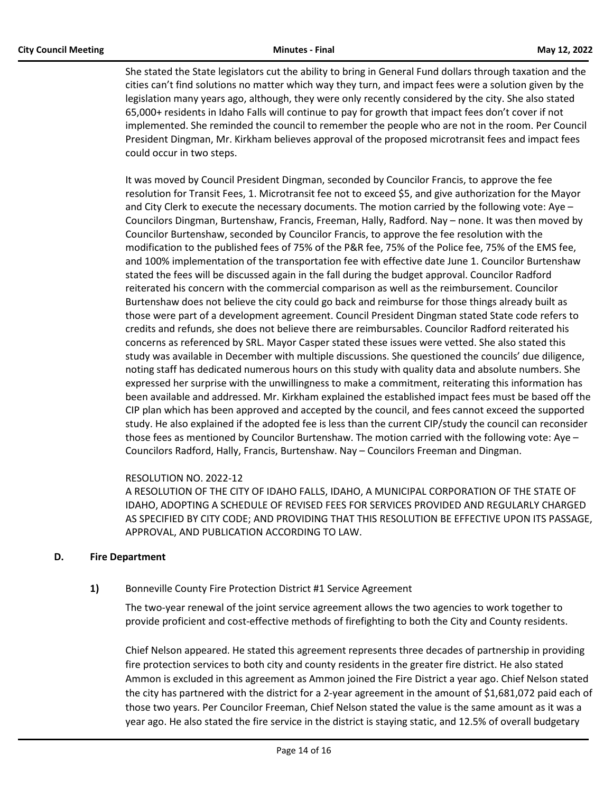She stated the State legislators cut the ability to bring in General Fund dollars through taxation and the cities can't find solutions no matter which way they turn, and impact fees were a solution given by the legislation many years ago, although, they were only recently considered by the city. She also stated 65,000+ residents in Idaho Falls will continue to pay for growth that impact fees don't cover if not implemented. She reminded the council to remember the people who are not in the room. Per Council President Dingman, Mr. Kirkham believes approval of the proposed microtransit fees and impact fees could occur in two steps.

It was moved by Council President Dingman, seconded by Councilor Francis, to approve the fee resolution for Transit Fees, 1. Microtransit fee not to exceed \$5, and give authorization for the Mayor and City Clerk to execute the necessary documents. The motion carried by the following vote: Aye – Councilors Dingman, Burtenshaw, Francis, Freeman, Hally, Radford. Nay – none. It was then moved by Councilor Burtenshaw, seconded by Councilor Francis, to approve the fee resolution with the modification to the published fees of 75% of the P&R fee, 75% of the Police fee, 75% of the EMS fee, and 100% implementation of the transportation fee with effective date June 1. Councilor Burtenshaw stated the fees will be discussed again in the fall during the budget approval. Councilor Radford reiterated his concern with the commercial comparison as well as the reimbursement. Councilor Burtenshaw does not believe the city could go back and reimburse for those things already built as those were part of a development agreement. Council President Dingman stated State code refers to credits and refunds, she does not believe there are reimbursables. Councilor Radford reiterated his concerns as referenced by SRL. Mayor Casper stated these issues were vetted. She also stated this study was available in December with multiple discussions. She questioned the councils' due diligence, noting staff has dedicated numerous hours on this study with quality data and absolute numbers. She expressed her surprise with the unwillingness to make a commitment, reiterating this information has been available and addressed. Mr. Kirkham explained the established impact fees must be based off the CIP plan which has been approved and accepted by the council, and fees cannot exceed the supported study. He also explained if the adopted fee is less than the current CIP/study the council can reconsider those fees as mentioned by Councilor Burtenshaw. The motion carried with the following vote: Aye – Councilors Radford, Hally, Francis, Burtenshaw. Nay – Councilors Freeman and Dingman.

# RESOLUTION NO. 2022-12

A RESOLUTION OF THE CITY OF IDAHO FALLS, IDAHO, A MUNICIPAL CORPORATION OF THE STATE OF IDAHO, ADOPTING A SCHEDULE OF REVISED FEES FOR SERVICES PROVIDED AND REGULARLY CHARGED AS SPECIFIED BY CITY CODE; AND PROVIDING THAT THIS RESOLUTION BE EFFECTIVE UPON ITS PASSAGE, APPROVAL, AND PUBLICATION ACCORDING TO LAW.

# **D. Fire Department**

# **1)** Bonneville County Fire Protection District #1 Service Agreement

The two-year renewal of the joint service agreement allows the two agencies to work together to provide proficient and cost-effective methods of firefighting to both the City and County residents.

Chief Nelson appeared. He stated this agreement represents three decades of partnership in providing fire protection services to both city and county residents in the greater fire district. He also stated Ammon is excluded in this agreement as Ammon joined the Fire District a year ago. Chief Nelson stated the city has partnered with the district for a 2-year agreement in the amount of \$1,681,072 paid each of those two years. Per Councilor Freeman, Chief Nelson stated the value is the same amount as it was a year ago. He also stated the fire service in the district is staying static, and 12.5% of overall budgetary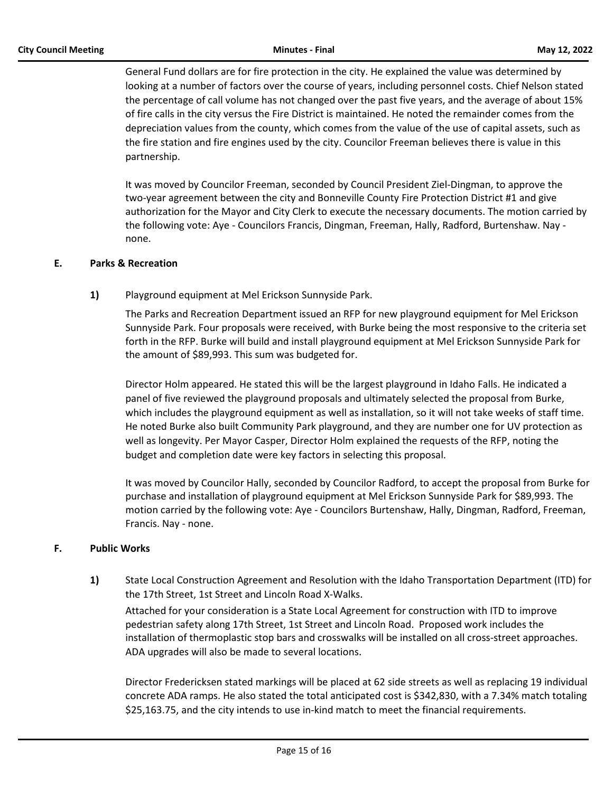General Fund dollars are for fire protection in the city. He explained the value was determined by looking at a number of factors over the course of years, including personnel costs. Chief Nelson stated the percentage of call volume has not changed over the past five years, and the average of about 15% of fire calls in the city versus the Fire District is maintained. He noted the remainder comes from the depreciation values from the county, which comes from the value of the use of capital assets, such as the fire station and fire engines used by the city. Councilor Freeman believes there is value in this partnership.

It was moved by Councilor Freeman, seconded by Council President Ziel-Dingman, to approve the two-year agreement between the city and Bonneville County Fire Protection District #1 and give authorization for the Mayor and City Clerk to execute the necessary documents. The motion carried by the following vote: Aye - Councilors Francis, Dingman, Freeman, Hally, Radford, Burtenshaw. Nay none.

# **E. Parks & Recreation**

**1)** Playground equipment at Mel Erickson Sunnyside Park.

The Parks and Recreation Department issued an RFP for new playground equipment for Mel Erickson Sunnyside Park. Four proposals were received, with Burke being the most responsive to the criteria set forth in the RFP. Burke will build and install playground equipment at Mel Erickson Sunnyside Park for the amount of \$89,993. This sum was budgeted for.

Director Holm appeared. He stated this will be the largest playground in Idaho Falls. He indicated a panel of five reviewed the playground proposals and ultimately selected the proposal from Burke, which includes the playground equipment as well as installation, so it will not take weeks of staff time. He noted Burke also built Community Park playground, and they are number one for UV protection as well as longevity. Per Mayor Casper, Director Holm explained the requests of the RFP, noting the budget and completion date were key factors in selecting this proposal.

It was moved by Councilor Hally, seconded by Councilor Radford, to accept the proposal from Burke for purchase and installation of playground equipment at Mel Erickson Sunnyside Park for \$89,993. The motion carried by the following vote: Aye - Councilors Burtenshaw, Hally, Dingman, Radford, Freeman, Francis. Nay - none.

# **F. Public Works**

**1)** State Local Construction Agreement and Resolution with the Idaho Transportation Department (ITD) for the 17th Street, 1st Street and Lincoln Road X-Walks.

Attached for your consideration is a State Local Agreement for construction with ITD to improve pedestrian safety along 17th Street, 1st Street and Lincoln Road. Proposed work includes the installation of thermoplastic stop bars and crosswalks will be installed on all cross-street approaches. ADA upgrades will also be made to several locations.

Director Fredericksen stated markings will be placed at 62 side streets as well as replacing 19 individual concrete ADA ramps. He also stated the total anticipated cost is \$342,830, with a 7.34% match totaling \$25,163.75, and the city intends to use in-kind match to meet the financial requirements.